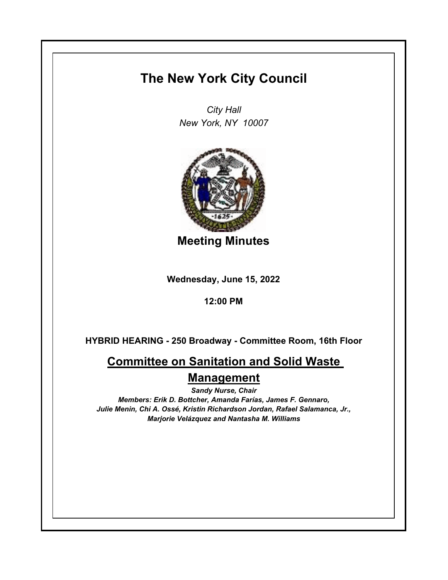## **The New York City Council**

*City Hall New York, NY 10007*



**Meeting Minutes**

**Wednesday, June 15, 2022**

**12:00 PM**

**HYBRID HEARING - 250 Broadway - Committee Room, 16th Floor**

**Committee on Sanitation and Solid Waste Management**

*Sandy Nurse, Chair Members: Erik D. Bottcher, Amanda Farías, James F. Gennaro, Julie Menin, Chi A. Ossé, Kristin Richardson Jordan, Rafael Salamanca, Jr., Marjorie Velázquez and Nantasha M. Williams*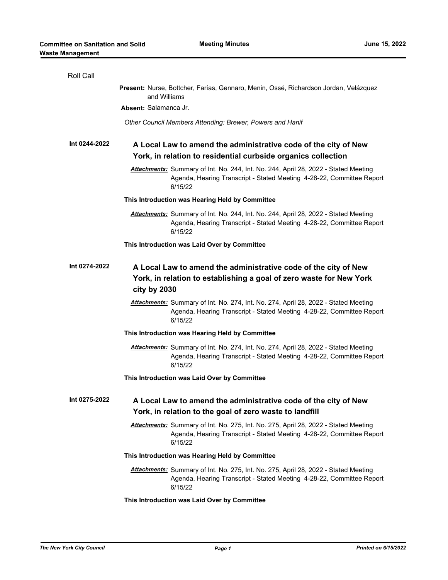| Roll Call     |                                                                                                                                                                                |
|---------------|--------------------------------------------------------------------------------------------------------------------------------------------------------------------------------|
|               | Present: Nurse, Bottcher, Farías, Gennaro, Menin, Ossé, Richardson Jordan, Velázquez<br>and Williams                                                                           |
|               | Absent: Salamanca Jr.                                                                                                                                                          |
|               | Other Council Members Attending: Brewer, Powers and Hanif                                                                                                                      |
| Int 0244-2022 | A Local Law to amend the administrative code of the city of New<br>York, in relation to residential curbside organics collection                                               |
|               | Attachments: Summary of Int. No. 244, Int. No. 244, April 28, 2022 - Stated Meeting<br>Agenda, Hearing Transcript - Stated Meeting 4-28-22, Committee Report<br>6/15/22        |
|               | This Introduction was Hearing Held by Committee                                                                                                                                |
|               | Attachments: Summary of Int. No. 244, Int. No. 244, April 28, 2022 - Stated Meeting<br>Agenda, Hearing Transcript - Stated Meeting 4-28-22, Committee Report<br>6/15/22        |
|               | This Introduction was Laid Over by Committee                                                                                                                                   |
| Int 0274-2022 | A Local Law to amend the administrative code of the city of New<br>York, in relation to establishing a goal of zero waste for New York<br>city by 2030                         |
|               | Attachments: Summary of Int. No. 274, Int. No. 274, April 28, 2022 - Stated Meeting<br>Agenda, Hearing Transcript - Stated Meeting 4-28-22, Committee Report<br>6/15/22        |
|               | This Introduction was Hearing Held by Committee                                                                                                                                |
|               | Attachments: Summary of Int. No. 274, Int. No. 274, April 28, 2022 - Stated Meeting<br>Agenda, Hearing Transcript - Stated Meeting 4-28-22, Committee Report<br>6/15/22        |
|               | This Introduction was Laid Over by Committee                                                                                                                                   |
| Int 0275-2022 | A Local Law to amend the administrative code of the city of New<br>York, in relation to the goal of zero waste to landfill                                                     |
|               | Attachments: Summary of Int. No. 275, Int. No. 275, April 28, 2022 - Stated Meeting<br>Agenda, Hearing Transcript - Stated Meeting 4-28-22, Committee Report<br>6/15/22        |
|               | This Introduction was Hearing Held by Committee                                                                                                                                |
|               | <b>Attachments:</b> Summary of Int. No. 275, Int. No. 275, April 28, 2022 - Stated Meeting<br>Agenda, Hearing Transcript - Stated Meeting 4-28-22, Committee Report<br>6/15/22 |
|               | This Introduction was Laid Over by Committee                                                                                                                                   |